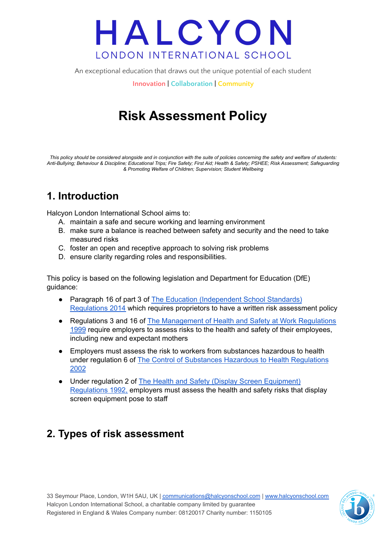An exceptional education that draws out the unique potential of each student

**Innovation | Collaboration | Community**

## **Risk Assessment Policy**

*This policy should be considered alongside and in conjunction with the suite of policies concerning the safety and welfare of students: Anti-Bullying; Behaviour & Discipline; Educational Trips; Fire Safety; First Aid; Health & Safety; PSHEE; Risk Assessment; Safeguarding & Promoting Welfare of Children; Supervision; Student Wellbeing*

### **1. Introduction**

Halcyon London International School aims to:

- A. maintain a safe and secure working and learning environment
- B. make sure a balance is reached between safety and security and the need to take measured risks
- C. foster an open and receptive approach to solving risk problems
- D. ensure clarity regarding roles and responsibilities.

This policy is based on the following legislation and Department for Education (DfE) guidance:

- Paragraph 16 of part 3 of The Education [\(Independent](https://www.legislation.gov.uk/uksi/2014/3283/schedule/part/3/made) School Standards) [Regulations](https://www.legislation.gov.uk/uksi/2014/3283/schedule/part/3/made) 2014 which requires proprietors to have a written risk assessment policy
- Regulations 3 and 16 of The [Management](https://www.legislation.gov.uk/uksi/1999/3242/contents/made) of Health and Safety at Work Regulations [1999](https://www.legislation.gov.uk/uksi/1999/3242/contents/made) require employers to assess risks to the health and safety of their employees, including new and expectant mothers
- Employers must assess the risk to workers from substances hazardous to health under regulation 6 of The Control of Substances Hazardous to Health [Regulations](https://www.legislation.gov.uk/uksi/2002/2677/regulation/6/made) [2002](https://www.legislation.gov.uk/uksi/2002/2677/regulation/6/made)
- Under regulation 2 of The Health and Safety (Display Screen [Equipment\)](https://www.legislation.gov.uk/uksi/1992/2792/regulation/2/made) [Regulations](https://www.legislation.gov.uk/uksi/1992/2792/regulation/2/made) 1992, employers must assess the health and safety risks that display screen equipment pose to staff

### **2. Types of risk assessment**

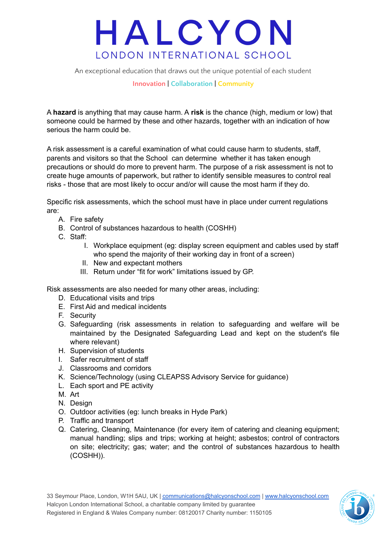An exceptional education that draws out the unique potential of each student

#### **Innovation | Collaboration | Community**

A **hazard** is anything that may cause harm. A **risk** is the chance (high, medium or low) that someone could be harmed by these and other hazards, together with an indication of how serious the harm could be.

A risk assessment is a careful examination of what could cause harm to students, staff, parents and visitors so that the School can determine whether it has taken enough precautions or should do more to prevent harm. The purpose of a risk assessment is not to create huge amounts of paperwork, but rather to identify sensible measures to control real risks - those that are most likely to occur and/or will cause the most harm if they do.

Specific risk assessments, which the school must have in place under current regulations are:

- A. Fire safety
- B. Control of substances hazardous to health (COSHH)
- C. Staff:
	- I. Workplace equipment (eg: display screen equipment and cables used by staff who spend the majority of their working day in front of a screen)
	- II. New and expectant mothers
	- III. Return under "fit for work" limitations issued by GP.

Risk assessments are also needed for many other areas, including:

- D. Educational visits and trips
- E. First Aid and medical incidents
- F. Security
- G. Safeguarding (risk assessments in relation to safeguarding and welfare will be maintained by the Designated Safeguarding Lead and kept on the student's file where relevant)
- H. Supervision of students
- I. Safer recruitment of staff
- J. Classrooms and corridors
- K. Science/Technology (using CLEAPSS Advisory Service for guidance)
- L. Each sport and PE activity
- M. Art
- N. Design
- O. Outdoor activities (eg: lunch breaks in Hyde Park)
- P. Traffic and transport
- Q. Catering, Cleaning, Maintenance (for every item of catering and cleaning equipment; manual handling; slips and trips; working at height; asbestos; control of contractors on site; electricity; gas; water; and the control of substances hazardous to health (COSHH)).

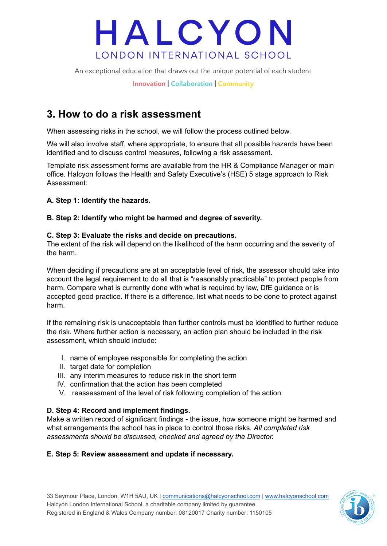An exceptional education that draws out the unique potential of each student

**Innovation | Collaboration | Community**

### **3. How to do a risk assessment**

When assessing risks in the school, we will follow the process outlined below.

We will also involve staff, where appropriate, to ensure that all possible hazards have been identified and to discuss control measures, following a risk assessment.

Template risk assessment forms are available from the HR & Compliance Manager or main office. Halcyon follows the Health and Safety Executive's (HSE) 5 stage approach to Risk Assessment:

#### **A. Step 1: Identify the hazards.**

#### **B. Step 2: Identify who might be harmed and degree of severity.**

#### **C. Step 3: Evaluate the risks and decide on precautions.**

The extent of the risk will depend on the likelihood of the harm occurring and the severity of the harm.

When deciding if precautions are at an acceptable level of risk, the assessor should take into account the legal requirement to do all that is "reasonably practicable" to protect people from harm. Compare what is currently done with what is required by law, DfE guidance or is accepted good practice. If there is a difference, list what needs to be done to protect against harm.

If the remaining risk is unacceptable then further controls must be identified to further reduce the risk. Where further action is necessary, an action plan should be included in the risk assessment, which should include:

- I. name of employee responsible for completing the action
- II. target date for completion
- III. any interim measures to reduce risk in the short term
- IV. confirmation that the action has been completed
- V. reassessment of the level of risk following completion of the action.

#### **D. Step 4: Record and implement findings.**

Make a written record of significant findings - the issue, how someone might be harmed and what arrangements the school has in place to control those risks. *All completed risk assessments should be discussed, checked and agreed by the Director.*

#### **E. Step 5: Review assessment and update if necessary.**

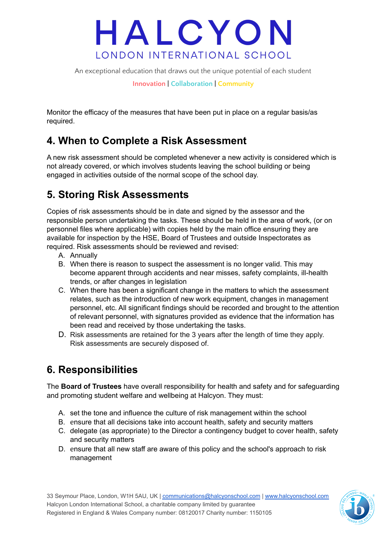An exceptional education that draws out the unique potential of each student

**Innovation | Collaboration | Community**

Monitor the efficacy of the measures that have been put in place on a regular basis/as required.

### **4. When to Complete a Risk Assessment**

A new risk assessment should be completed whenever a new activity is considered which is not already covered, or which involves students leaving the school building or being engaged in activities outside of the normal scope of the school day.

### **5. Storing Risk Assessments**

Copies of risk assessments should be in date and signed by the assessor and the responsible person undertaking the tasks. These should be held in the area of work, (or on personnel files where applicable) with copies held by the main office ensuring they are available for inspection by the HSE, Board of Trustees and outside Inspectorates as required. Risk assessments should be reviewed and revised:

- A. Annually
- B. When there is reason to suspect the assessment is no longer valid. This may become apparent through accidents and near misses, safety complaints, ill-health trends, or after changes in legislation
- C. When there has been a significant change in the matters to which the assessment relates, such as the introduction of new work equipment, changes in management personnel, etc. All significant findings should be recorded and brought to the attention of relevant personnel, with signatures provided as evidence that the information has been read and received by those undertaking the tasks.
- D. Risk assessments are retained for the 3 years after the length of time they apply. Risk assessments are securely disposed of.

### **6. Responsibilities**

The **Board of Trustees** have overall responsibility for health and safety and for safeguarding and promoting student welfare and wellbeing at Halcyon. They must:

- A. set the tone and influence the culture of risk management within the school
- B. ensure that all decisions take into account health, safety and security matters
- C. delegate (as appropriate) to the Director a contingency budget to cover health, safety and security matters
- D. ensure that all new staff are aware of this policy and the school's approach to risk management

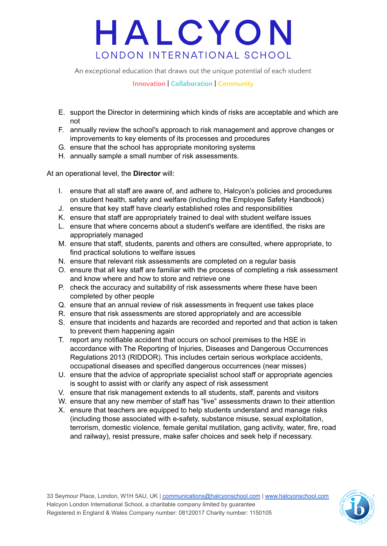An exceptional education that draws out the unique potential of each student

**Innovation | Collaboration | Community**

- E. support the Director in determining which kinds of risks are acceptable and which are not
- F. annually review the school's approach to risk management and approve changes or improvements to key elements of its processes and procedures
- G. ensure that the school has appropriate monitoring systems
- H. annually sample a small number of risk assessments.

At an operational level, the **Director** will:

- I. ensure that all staff are aware of, and adhere to, Halcyon's policies and procedures on student health, safety and welfare (including the Employee Safety Handbook)
- J. ensure that key staff have clearly established roles and responsibilities
- K. ensure that staff are appropriately trained to deal with student welfare issues
- L. ensure that where concerns about a student's welfare are identified, the risks are appropriately managed
- M. ensure that staff, students, parents and others are consulted, where appropriate, to find practical solutions to welfare issues
- N. ensure that relevant risk assessments are completed on a regular basis
- O. ensure that all key staff are familiar with the process of completing a risk assessment and know where and how to store and retrieve one
- P. check the accuracy and suitability of risk assessments where these have been completed by other people
- Q. ensure that an annual review of risk assessments in frequent use takes place
- R. ensure that risk assessments are stored appropriately and are accessible
- S. ensure that incidents and hazards are recorded and reported and that action is taken to prevent them happening again
- T. report any notifiable accident that occurs on school premises to the HSE in accordance with The Reporting of Injuries, Diseases and Dangerous Occurrences Regulations 2013 (RIDDOR). This includes certain serious workplace accidents, occupational diseases and specified dangerous occurrences (near misses)
- U. ensure that the advice of appropriate specialist school staff or appropriate agencies is sought to assist with or clarify any aspect of risk assessment
- V. ensure that risk management extends to all students, staff, parents and visitors
- W. ensure that any new member of staff has "live" assessments drawn to their attention
- X. ensure that teachers are equipped to help students understand and manage risks (including those associated with e-safety, substance misuse, sexual exploitation, terrorism, domestic violence, female genital mutilation, gang activity, water, fire, road and railway), resist pressure, make safer choices and seek help if necessary.